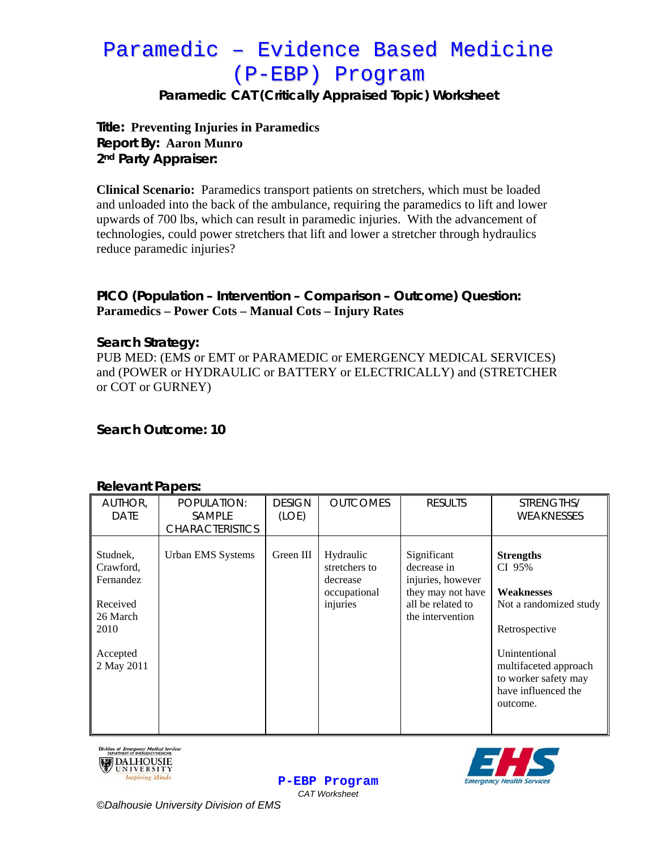# Paramedic – Evidence Based Medicine (P-EBP) Program

**Paramedic CAT (Critically Appraised Topic) Worksheet** 

### **Title: Preventing Injuries in Paramedics Report By: Aaron Munro 2nd Party Appraiser:**

**Clinical Scenario:** Paramedics transport patients on stretchers, which must be loaded and unloaded into the back of the ambulance, requiring the paramedics to lift and lower upwards of 700 lbs, which can result in paramedic injuries. With the advancement of technologies, could power stretchers that lift and lower a stretcher through hydraulics reduce paramedic injuries?

## **PICO (Population – Intervention – Comparison – Outcome) Question: Paramedics – Power Cots – Manual Cots – Injury Rates**

#### **Search Strategy:**

PUB MED: (EMS or EMT or PARAMEDIC or EMERGENCY MEDICAL SERVICES) and (POWER or HYDRAULIC or BATTERY or ELECTRICALLY) and (STRETCHER or COT or GURNEY)

**Search Outcome: 10** 

#### **Relevant Papers:**

| NGIGVAHI FANGIS.                                                                             |                                                        |                        |                                                                    |                                                                                                               |                                                                                                                                                                                                 |  |  |  |  |
|----------------------------------------------------------------------------------------------|--------------------------------------------------------|------------------------|--------------------------------------------------------------------|---------------------------------------------------------------------------------------------------------------|-------------------------------------------------------------------------------------------------------------------------------------------------------------------------------------------------|--|--|--|--|
| AUTHOR,<br><b>DATE</b>                                                                       | POPULATION:<br><b>SAMPLE</b><br><b>CHARACTERISTICS</b> | <b>DESIGN</b><br>(LOE) | <b>OUTCOMES</b>                                                    | <b>RESULTS</b>                                                                                                | STRENGTHS/<br>WEAKNESSES                                                                                                                                                                        |  |  |  |  |
| Studnek,<br>Crawford,<br>Fernandez<br>Received<br>26 March<br>2010<br>Accepted<br>2 May 2011 | Urban EMS Systems                                      | Green III              | Hydraulic<br>stretchers to<br>decrease<br>occupational<br>injuries | Significant<br>decrease in<br>injuries, however<br>they may not have<br>all be related to<br>the intervention | <b>Strengths</b><br>CI 95%<br><b>Weaknesses</b><br>Not a randomized study<br>Retrospective<br>Unintentional<br>multifaceted approach<br>to worker safety may<br>have influenced the<br>outcome. |  |  |  |  |

**P-EBP Program** *CAT Worksheet* 





*©Dalhousie University Division of EMS*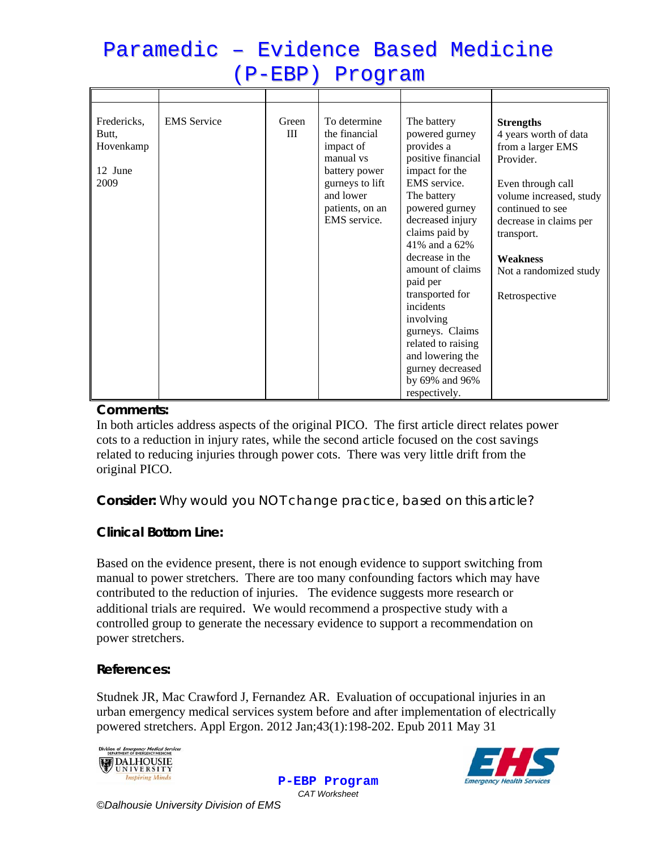| (P-EBP) Program                                      |                    |              |                                                                                                                                             |                                                                                                                                                                                                                                                                                                                                                                                                                 |                                                                                                                                                                                                                                                       |  |  |  |  |
|------------------------------------------------------|--------------------|--------------|---------------------------------------------------------------------------------------------------------------------------------------------|-----------------------------------------------------------------------------------------------------------------------------------------------------------------------------------------------------------------------------------------------------------------------------------------------------------------------------------------------------------------------------------------------------------------|-------------------------------------------------------------------------------------------------------------------------------------------------------------------------------------------------------------------------------------------------------|--|--|--|--|
|                                                      |                    |              |                                                                                                                                             |                                                                                                                                                                                                                                                                                                                                                                                                                 |                                                                                                                                                                                                                                                       |  |  |  |  |
| Fredericks,<br>Butt,<br>Hovenkamp<br>12 June<br>2009 | <b>EMS</b> Service | Green<br>III | To determine<br>the financial<br>impact of<br>manual vs<br>battery power<br>gurneys to lift<br>and lower<br>patients, on an<br>EMS service. | The battery<br>powered gurney<br>provides a<br>positive financial<br>impact for the<br>EMS service.<br>The battery<br>powered gurney<br>decreased injury<br>claims paid by<br>41% and a 62%<br>decrease in the<br>amount of claims<br>paid per<br>transported for<br>incidents<br>involving<br>gurneys. Claims<br>related to raising<br>and lowering the<br>gurney decreased<br>by 69% and 96%<br>respectively. | <b>Strengths</b><br>4 years worth of data<br>from a larger EMS<br>Provider.<br>Even through call<br>volume increased, study<br>continued to see<br>decrease in claims per<br>transport.<br><b>Weakness</b><br>Not a randomized study<br>Retrospective |  |  |  |  |

Paramedic – Evidence Based Medicine

#### **Comments:**

In both articles address aspects of the original PICO. The first article direct relates power cots to a reduction in injury rates, while the second article focused on the cost savings related to reducing injuries through power cots. There was very little drift from the original PICO.

**Consider:** *Why would you NOT change practice, based on this article?*

## **Clinical Bottom Line:**

Based on the evidence present, there is not enough evidence to support switching from manual to power stretchers. There are too many confounding factors which may have contributed to the reduction of injuries. The evidence suggests more research or additional trials are required. We would recommend a prospective study with a controlled group to generate the necessary evidence to support a recommendation on power stretchers.

#### **References:**

Studnek JR, Mac Crawford J, Fernandez AR. Evaluation of occupational injuries in an urban emergency medical services system before and after implementation of electrically powered stretchers. Appl Ergon. 2012 Jan;43(1):198-202. Epub 2011 May 31



**P-EBP Program** *CAT Worksheet* 



*©Dalhousie University Division of EMS*